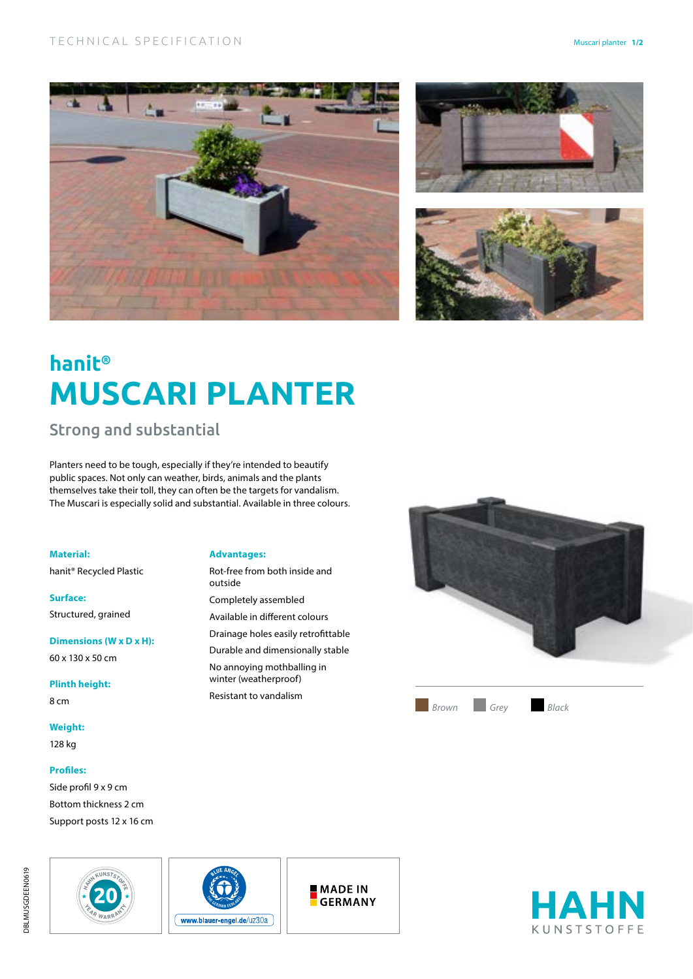





# **hanit® MUSCARI PLANTER**

Strong and substantial

Planters need to be tough, especially if they're intended to beautify public spaces. Not only can weather, birds, animals and the plants themselves take their toll, they can often be the targets for vandalism. The Muscari is especially solid and substantial. Available in three colours.

**Material:**

hanit® Recycled Plastic

**Surface:** Structured, grained

**Dimensions (W x D x H):** 60 x 130 x 50 cm

**Plinth height:** 8 cm

**Weight:**

128 kg

### **Profiles:**

Side profil 9 x 9 cm Bottom thickness 2 cm Support posts 12 x 16 cm





**Advantages:**

Rot-free from both inside and outside Completely assembled Available in different colours Drainage holes easily retrofittable Durable and dimensionally stable No annoying mothballing in winter (weatherproof) Resistant to vandalism



**MADE IN GERMANY**